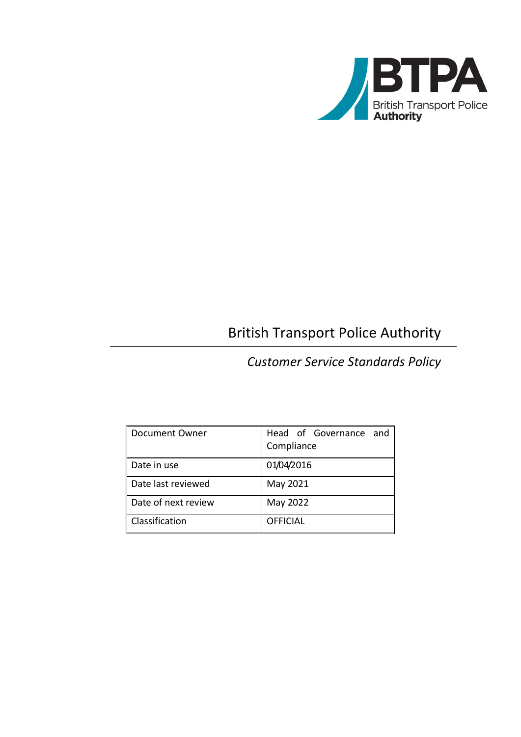

# British Transport Police Authority

# *Customer Service Standards Policy*

| Document Owner      | Head of Governance and<br>Compliance |
|---------------------|--------------------------------------|
| Date in use         | 01/04/2016                           |
| Date last reviewed  | May 2021                             |
| Date of next review | May 2022                             |
| Classification      | <b>OFFICIAL</b>                      |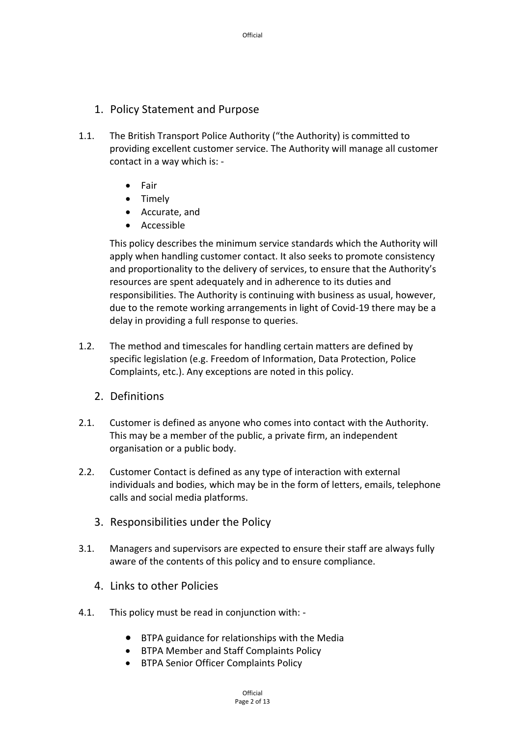- 1. Policy Statement and Purpose
- 1.1. The British Transport Police Authority ("the Authority) is committed to providing excellent customer service. The Authority will manage all customer contact in a way which is: ‐
	- Fair
	- Timely
	- Accurate, and
	- Accessible

This policy describes the minimum service standards which the Authority will apply when handling customer contact. It also seeks to promote consistency and proportionality to the delivery of services, to ensure that the Authority's resources are spent adequately and in adherence to its duties and responsibilities. The Authority is continuing with business as usual, however, due to the remote working arrangements in light of Covid‐19 there may be a delay in providing a full response to queries.

- 1.2. The method and timescales for handling certain matters are defined by specific legislation (e.g. Freedom of Information, Data Protection, Police Complaints, etc.). Any exceptions are noted in this policy.
	- 2. Definitions
- 2.1. Customer is defined as anyone who comes into contact with the Authority. This may be a member of the public, a private firm, an independent organisation or a public body.
- 2.2. Customer Contact is defined as any type of interaction with external individuals and bodies, which may be in the form of letters, emails, telephone calls and social media platforms.
	- 3. Responsibilities under the Policy
- 3.1. Managers and supervisors are expected to ensure their staff are always fully aware of the contents of this policy and to ensure compliance.
	- 4. Links to other Policies
- 4.1. This policy must be read in conjunction with: ‐
	- BTPA guidance for relationships with the Media
	- BTPA Member and Staff Complaints Policy
	- BTPA Senior Officer Complaints Policy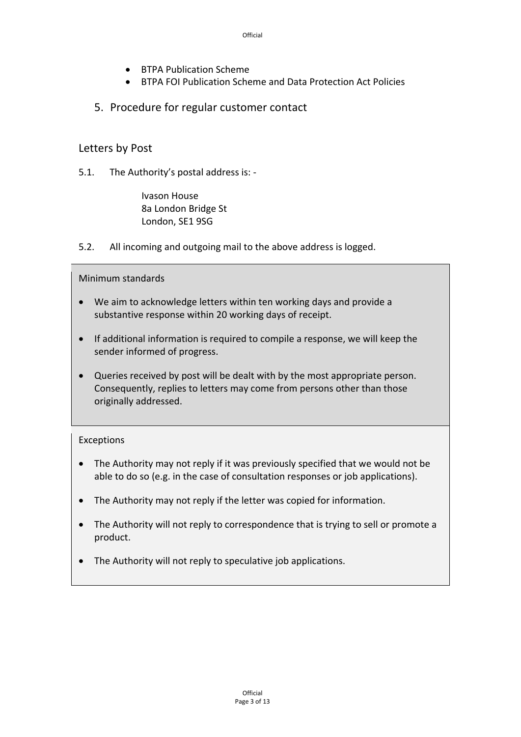- BTPA Publication Scheme
- BTPA FOI Publication Scheme and Data Protection Act Policies
- 5. Procedure for regular customer contact

### Letters by Post

5.1. The Authority's postal address is: ‐

Ivason House 8a London Bridge St London, SE1 9SG

5.2. All incoming and outgoing mail to the above address is logged.

Minimum standards

- We aim to acknowledge letters within ten working days and provide a substantive response within 20 working days of receipt.
- If additional information is required to compile a response, we will keep the sender informed of progress.
- Queries received by post will be dealt with by the most appropriate person. Consequently, replies to letters may come from persons other than those originally addressed.

#### Exceptions

- The Authority may not reply if it was previously specified that we would not be able to do so (e.g. in the case of consultation responses or job applications).
- The Authority may not reply if the letter was copied for information.
- The Authority will not reply to correspondence that is trying to sell or promote a product.
- The Authority will not reply to speculative job applications.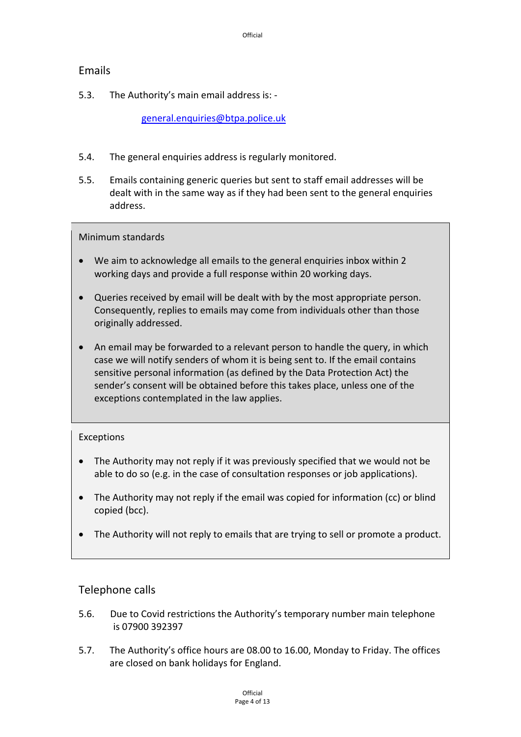# Emails

5.3. The Authority's main email address is: ‐

general.enquiries@btpa.police.uk

- 5.4. The general enquiries address is regularly monitored.
- 5.5. Emails containing generic queries but sent to staff email addresses will be dealt with in the same way as if they had been sent to the general enquiries address.

#### Minimum standards

- We aim to acknowledge all emails to the general enquiries inbox within 2 working days and provide a full response within 20 working days.
- Queries received by email will be dealt with by the most appropriate person. Consequently, replies to emails may come from individuals other than those originally addressed.
- An email may be forwarded to a relevant person to handle the query, in which case we will notify senders of whom it is being sent to. If the email contains sensitive personal information (as defined by the Data Protection Act) the sender's consent will be obtained before this takes place, unless one of the exceptions contemplated in the law applies.

# Exceptions

- The Authority may not reply if it was previously specified that we would not be able to do so (e.g. in the case of consultation responses or job applications).
- The Authority may not reply if the email was copied for information (cc) or blind copied (bcc).
- The Authority will not reply to emails that are trying to sell or promote a product.

# Telephone calls

- 5.6. Due to Covid restrictions the Authority's temporary number main telephone is 07900 392397
- 5.7. The Authority's office hours are 08.00 to 16.00, Monday to Friday. The offices are closed on bank holidays for England.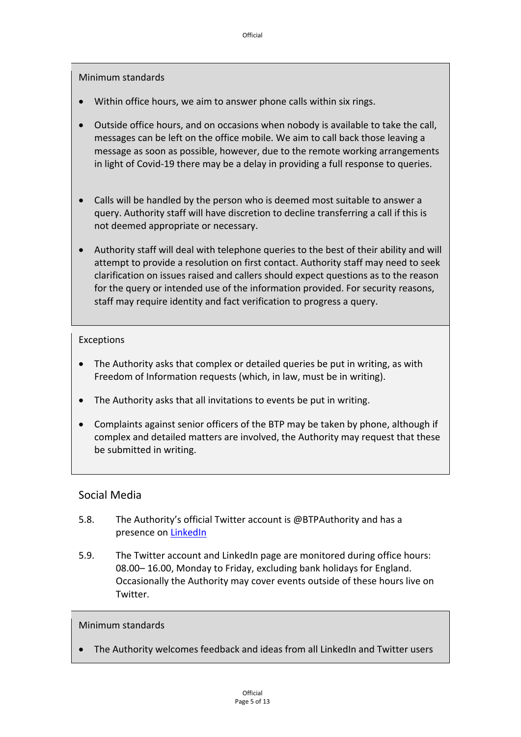Minimum standards

- Within office hours, we aim to answer phone calls within six rings.
- Outside office hours, and on occasions when nobody is available to take the call, messages can be left on the office mobile. We aim to call back those leaving a message as soon as possible, however, due to the remote working arrangements in light of Covid‐19 there may be a delay in providing a full response to queries.
- Calls will be handled by the person who is deemed most suitable to answer a query. Authority staff will have discretion to decline transferring a call if this is not deemed appropriate or necessary.
- Authority staff will deal with telephone queries to the best of their ability and will attempt to provide a resolution on first contact. Authority staff may need to seek clarification on issues raised and callers should expect questions as to the reason for the query or intended use of the information provided. For security reasons, staff may require identity and fact verification to progress a query.

#### Exceptions

- The Authority asks that complex or detailed queries be put in writing, as with Freedom of Information requests (which, in law, must be in writing).
- The Authority asks that all invitations to events be put in writing.
- Complaints against senior officers of the BTP may be taken by phone, although if complex and detailed matters are involved, the Authority may request that these be submitted in writing.

# Social Media

- 5.8. The Authority's official Twitter account is @BTPAuthority and has a presence on LinkedIn
- 5.9. The Twitter account and LinkedIn page are monitored during office hours: 08.00– 16.00, Monday to Friday, excluding bank holidays for England. Occasionally the Authority may cover events outside of these hours live on Twitter.

#### Minimum standards

The Authority welcomes feedback and ideas from all LinkedIn and Twitter users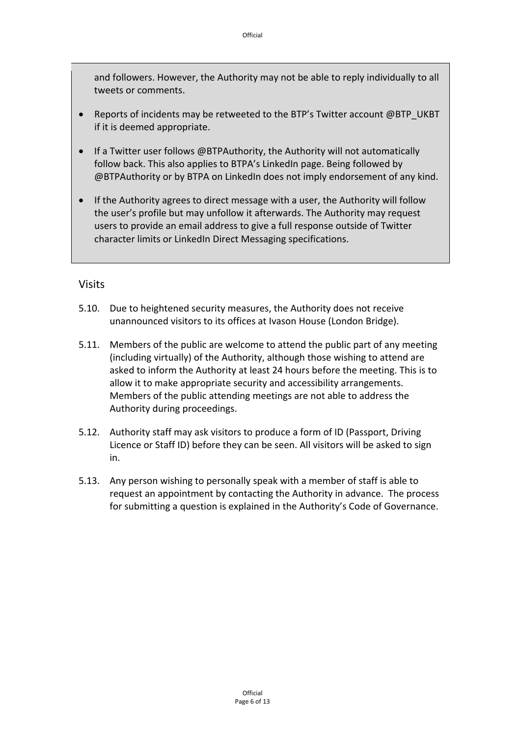and followers. However, the Authority may not be able to reply individually to all tweets or comments.

- Reports of incidents may be retweeted to the BTP's Twitter account @BTP\_UKBT if it is deemed appropriate.
- If a Twitter user follows @BTPAuthority, the Authority will not automatically follow back. This also applies to BTPA's LinkedIn page. Being followed by @BTPAuthority or by BTPA on LinkedIn does not imply endorsement of any kind.
- If the Authority agrees to direct message with a user, the Authority will follow the user's profile but may unfollow it afterwards. The Authority may request users to provide an email address to give a full response outside of Twitter character limits or LinkedIn Direct Messaging specifications.

#### Visits

- 5.10. Due to heightened security measures, the Authority does not receive unannounced visitors to its offices at Ivason House (London Bridge).
- 5.11. Members of the public are welcome to attend the public part of any meeting (including virtually) of the Authority, although those wishing to attend are asked to inform the Authority at least 24 hours before the meeting. This is to allow it to make appropriate security and accessibility arrangements. Members of the public attending meetings are not able to address the Authority during proceedings.
- 5.12. Authority staff may ask visitors to produce a form of ID (Passport, Driving Licence or Staff ID) before they can be seen. All visitors will be asked to sign in.
- 5.13. Any person wishing to personally speak with a member of staff is able to request an appointment by contacting the Authority in advance. The process for submitting a question is explained in the Authority's Code of Governance.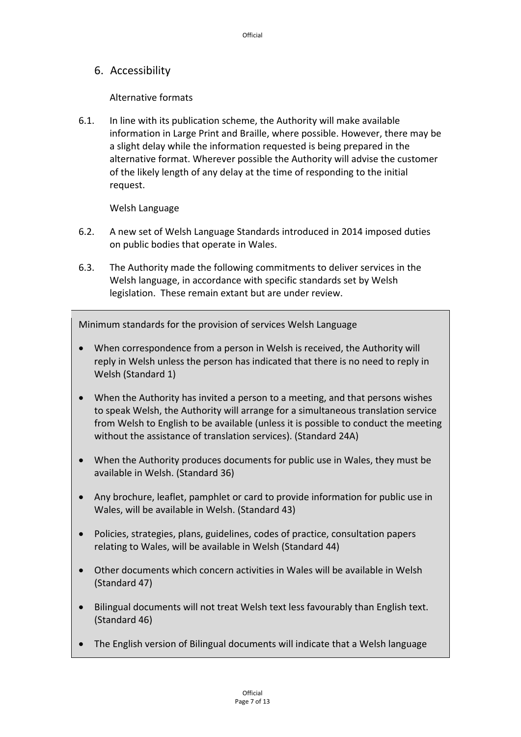6. Accessibility

Alternative formats

6.1. In line with its publication scheme, the Authority will make available information in Large Print and Braille, where possible. However, there may be a slight delay while the information requested is being prepared in the alternative format. Wherever possible the Authority will advise the customer of the likely length of any delay at the time of responding to the initial request.

Welsh Language

- 6.2. A new set of Welsh Language Standards introduced in 2014 imposed duties on public bodies that operate in Wales.
- 6.3. The Authority made the following commitments to deliver services in the Welsh language, in accordance with specific standards set by Welsh legislation. These remain extant but are under review.

Minimum standards for the provision of services Welsh Language

- When correspondence from a person in Welsh is received, the Authority will reply in Welsh unless the person has indicated that there is no need to reply in Welsh (Standard 1)
- When the Authority has invited a person to a meeting, and that persons wishes to speak Welsh, the Authority will arrange for a simultaneous translation service from Welsh to English to be available (unless it is possible to conduct the meeting without the assistance of translation services). (Standard 24A)
- When the Authority produces documents for public use in Wales, they must be available in Welsh. (Standard 36)
- Any brochure, leaflet, pamphlet or card to provide information for public use in Wales, will be available in Welsh. (Standard 43)
- Policies, strategies, plans, guidelines, codes of practice, consultation papers relating to Wales, will be available in Welsh (Standard 44)
- Other documents which concern activities in Wales will be available in Welsh (Standard 47)
- Bilingual documents will not treat Welsh text less favourably than English text. (Standard 46)
- The English version of Bilingual documents will indicate that a Welsh language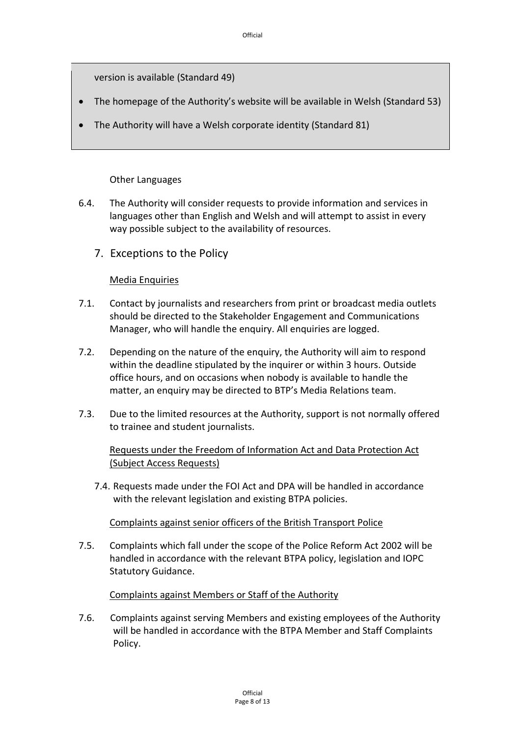version is available (Standard 49)

- The homepage of the Authority's website will be available in Welsh (Standard 53)
- The Authority will have a Welsh corporate identity (Standard 81)

### Other Languages

- 6.4. The Authority will consider requests to provide information and services in languages other than English and Welsh and will attempt to assist in every way possible subject to the availability of resources.
	- 7. Exceptions to the Policy

### Media Enquiries

- 7.1. Contact by journalists and researchers from print or broadcast media outlets should be directed to the Stakeholder Engagement and Communications Manager, who will handle the enquiry. All enquiries are logged.
- 7.2. Depending on the nature of the enquiry, the Authority will aim to respond within the deadline stipulated by the inquirer or within 3 hours. Outside office hours, and on occasions when nobody is available to handle the matter, an enquiry may be directed to BTP's Media Relations team.
- 7.3. Due to the limited resources at the Authority, support is not normally offered to trainee and student journalists.

### Requests under the Freedom of Information Act and Data Protection Act (Subject Access Requests)

7.4. Requests made under the FOI Act and DPA will be handled in accordance with the relevant legislation and existing BTPA policies.

#### Complaints against senior officers of the British Transport Police

7.5. Complaints which fall under the scope of the Police Reform Act 2002 will be handled in accordance with the relevant BTPA policy, legislation and IOPC Statutory Guidance.

# Complaints against Members or Staff of the Authority

7.6. Complaints against serving Members and existing employees of the Authority will be handled in accordance with the BTPA Member and Staff Complaints Policy.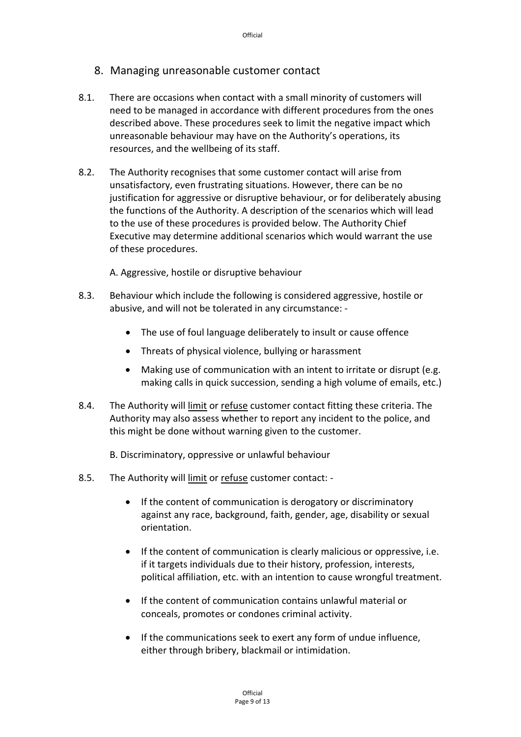- 8. Managing unreasonable customer contact
- 8.1. There are occasions when contact with a small minority of customers will need to be managed in accordance with different procedures from the ones described above. These procedures seek to limit the negative impact which unreasonable behaviour may have on the Authority's operations, its resources, and the wellbeing of its staff.
- 8.2. The Authority recognises that some customer contact will arise from unsatisfactory, even frustrating situations. However, there can be no justification for aggressive or disruptive behaviour, or for deliberately abusing the functions of the Authority. A description of the scenarios which will lead to the use of these procedures is provided below. The Authority Chief Executive may determine additional scenarios which would warrant the use of these procedures.

A. Aggressive, hostile or disruptive behaviour

- 8.3. Behaviour which include the following is considered aggressive, hostile or abusive, and will not be tolerated in any circumstance: ‐
	- The use of foul language deliberately to insult or cause offence
	- Threats of physical violence, bullying or harassment
	- Making use of communication with an intent to irritate or disrupt (e.g. making calls in quick succession, sending a high volume of emails, etc.)
- 8.4. The Authority will limit or refuse customer contact fitting these criteria. The Authority may also assess whether to report any incident to the police, and this might be done without warning given to the customer.
	- B. Discriminatory, oppressive or unlawful behaviour
- 8.5. The Authority will limit or refuse customer contact: ‐
	- If the content of communication is derogatory or discriminatory against any race, background, faith, gender, age, disability or sexual orientation.
	- If the content of communication is clearly malicious or oppressive, i.e. if it targets individuals due to their history, profession, interests, political affiliation, etc. with an intention to cause wrongful treatment.
	- If the content of communication contains unlawful material or conceals, promotes or condones criminal activity.
	- If the communications seek to exert any form of undue influence, either through bribery, blackmail or intimidation.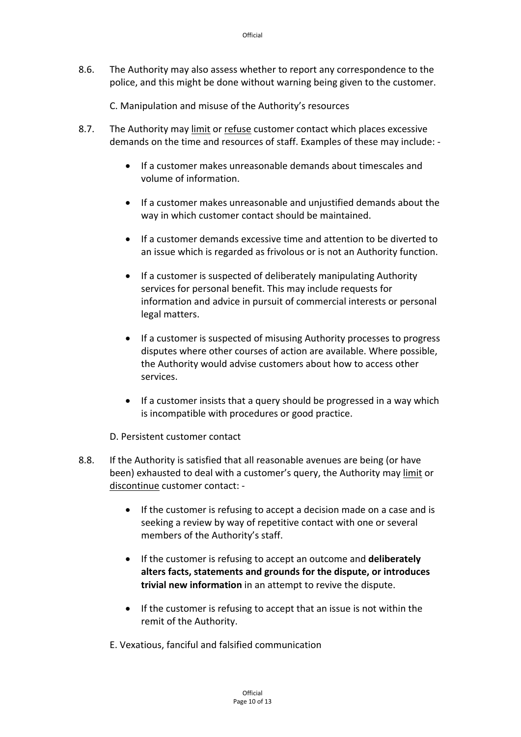8.6. The Authority may also assess whether to report any correspondence to the police, and this might be done without warning being given to the customer.

C. Manipulation and misuse of the Authority's resources

- 8.7. The Authority may limit or refuse customer contact which places excessive demands on the time and resources of staff. Examples of these may include: ‐
	- If a customer makes unreasonable demands about timescales and volume of information.
	- If a customer makes unreasonable and unjustified demands about the way in which customer contact should be maintained.
	- If a customer demands excessive time and attention to be diverted to an issue which is regarded as frivolous or is not an Authority function.
	- If a customer is suspected of deliberately manipulating Authority services for personal benefit. This may include requests for information and advice in pursuit of commercial interests or personal legal matters.
	- If a customer is suspected of misusing Authority processes to progress disputes where other courses of action are available. Where possible, the Authority would advise customers about how to access other services.
	- If a customer insists that a query should be progressed in a way which is incompatible with procedures or good practice.

D. Persistent customer contact

- 8.8. If the Authority is satisfied that all reasonable avenues are being (or have been) exhausted to deal with a customer's query, the Authority may limit or discontinue customer contact: ‐
	- If the customer is refusing to accept a decision made on a case and is seeking a review by way of repetitive contact with one or several members of the Authority's staff.
	- If the customer is refusing to accept an outcome and **deliberately alters facts, statements and grounds for the dispute, or introduces trivial new information** in an attempt to revive the dispute.
	- If the customer is refusing to accept that an issue is not within the remit of the Authority.
	- E. Vexatious, fanciful and falsified communication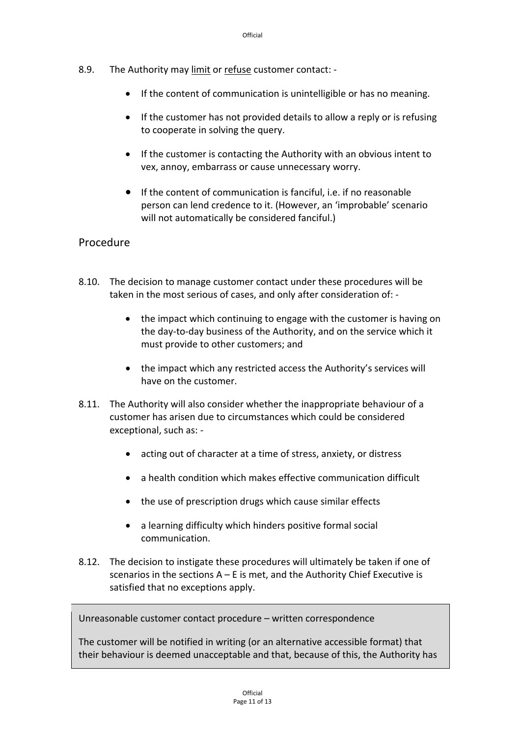- 8.9. The Authority may limit or refuse customer contact: ‐
	- If the content of communication is unintelligible or has no meaning.
	- If the customer has not provided details to allow a reply or is refusing to cooperate in solving the query.
	- If the customer is contacting the Authority with an obvious intent to vex, annoy, embarrass or cause unnecessary worry.
	- If the content of communication is fanciful, i.e. if no reasonable person can lend credence to it. (However, an 'improbable' scenario will not automatically be considered fanciful.)

### Procedure

- 8.10. The decision to manage customer contact under these procedures will be taken in the most serious of cases, and only after consideration of: ‐
	- the impact which continuing to engage with the customer is having on the day‐to‐day business of the Authority, and on the service which it must provide to other customers; and
	- the impact which any restricted access the Authority's services will have on the customer.
- 8.11. The Authority will also consider whether the inappropriate behaviour of a customer has arisen due to circumstances which could be considered exceptional, such as: ‐
	- acting out of character at a time of stress, anxiety, or distress
	- a health condition which makes effective communication difficult
	- the use of prescription drugs which cause similar effects
	- a learning difficulty which hinders positive formal social communication.
- 8.12. The decision to instigate these procedures will ultimately be taken if one of scenarios in the sections  $A - E$  is met, and the Authority Chief Executive is satisfied that no exceptions apply.

Unreasonable customer contact procedure – written correspondence

The customer will be notified in writing (or an alternative accessible format) that their behaviour is deemed unacceptable and that, because of this, the Authority has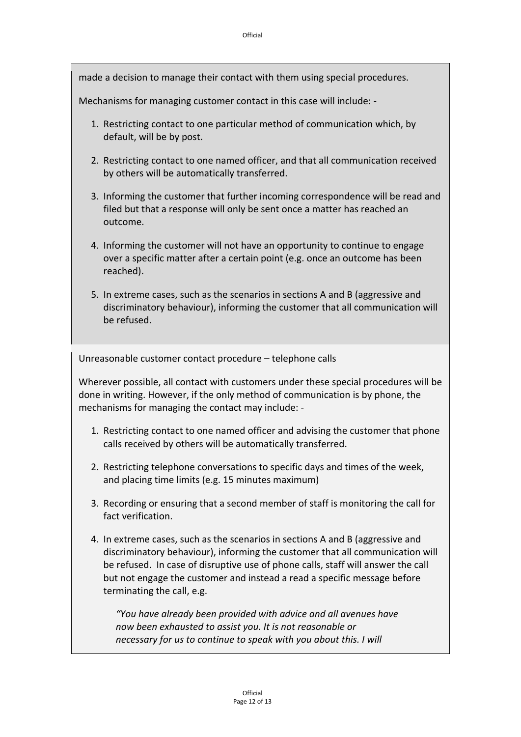made a decision to manage their contact with them using special procedures.

Mechanisms for managing customer contact in this case will include: ‐

- 1. Restricting contact to one particular method of communication which, by default, will be by post.
- 2. Restricting contact to one named officer, and that all communication received by others will be automatically transferred.
- 3. Informing the customer that further incoming correspondence will be read and filed but that a response will only be sent once a matter has reached an outcome.
- 4. Informing the customer will not have an opportunity to continue to engage over a specific matter after a certain point (e.g. once an outcome has been reached).
- 5. In extreme cases, such as the scenarios in sections A and B (aggressive and discriminatory behaviour), informing the customer that all communication will be refused.

Unreasonable customer contact procedure – telephone calls

Wherever possible, all contact with customers under these special procedures will be done in writing. However, if the only method of communication is by phone, the mechanisms for managing the contact may include: ‐

- 1. Restricting contact to one named officer and advising the customer that phone calls received by others will be automatically transferred.
- 2. Restricting telephone conversations to specific days and times of the week, and placing time limits (e.g. 15 minutes maximum)
- 3. Recording or ensuring that a second member of staff is monitoring the call for fact verification.
- 4. In extreme cases, such as the scenarios in sections A and B (aggressive and discriminatory behaviour), informing the customer that all communication will be refused. In case of disruptive use of phone calls, staff will answer the call but not engage the customer and instead a read a specific message before terminating the call, e.g.

*"You have already been provided with advice and all avenues have now been exhausted to assist you. It is not reasonable or necessary for us to continue to speak with you about this. I will*